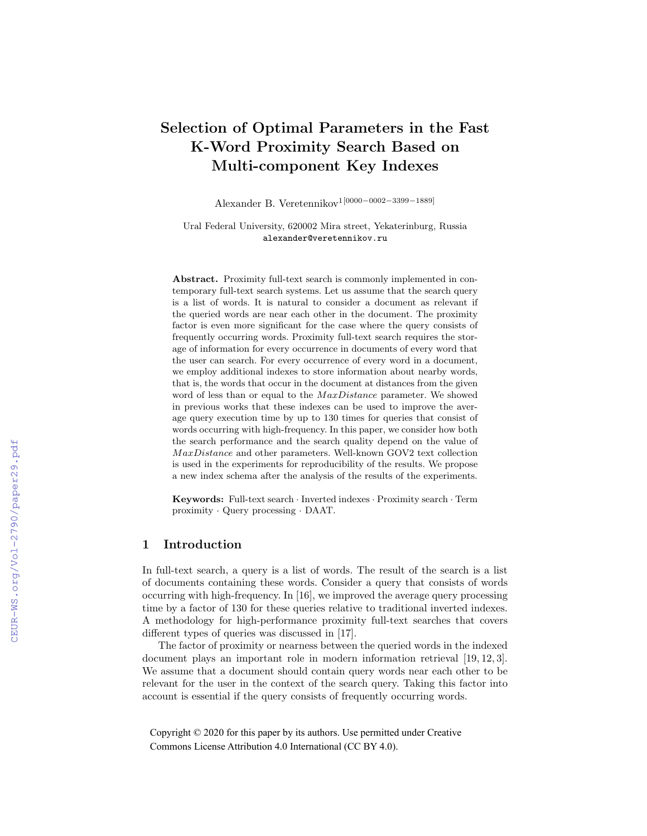# Selection of Optimal Parameters in the Fast K-Word Proximity Search Based on Multi-component Key Indexes

Alexander B. Veretennikov1[0000−0002−3399−1889]

Ural Federal University, 620002 Mira street, Yekaterinburg, Russia alexander@veretennikov.ru

Abstract. Proximity full-text search is commonly implemented in contemporary full-text search systems. Let us assume that the search query is a list of words. It is natural to consider a document as relevant if the queried words are near each other in the document. The proximity factor is even more significant for the case where the query consists of frequently occurring words. Proximity full-text search requires the storage of information for every occurrence in documents of every word that the user can search. For every occurrence of every word in a document, we employ additional indexes to store information about nearby words, that is, the words that occur in the document at distances from the given word of less than or equal to the MaxDistance parameter. We showed in previous works that these indexes can be used to improve the average query execution time by up to 130 times for queries that consist of words occurring with high-frequency. In this paper, we consider how both the search performance and the search quality depend on the value of MaxDistance and other parameters. Well-known GOV2 text collection is used in the experiments for reproducibility of the results. We propose a new index schema after the analysis of the results of the experiments.

Keywords: Full-text search · Inverted indexes · Proximity search · Term proximity · Query processing · DAAT.

## 1 Introduction

In full-text search, a query is a list of words. The result of the search is a list of documents containing these words. Consider a query that consists of words occurring with high-frequency. In [16], we improved the average query processing time by a factor of 130 for these queries relative to traditional inverted indexes. A methodology for high-performance proximity full-text searches that covers different types of queries was discussed in [17].

The factor of proximity or nearness between the queried words in the indexed document plays an important role in modern information retrieval [19, 12, 3]. We assume that a document should contain query words near each other to be relevant for the user in the context of the search query. Taking this factor into account is essential if the query consists of frequently occurring words.

Copyright © 2020 for this paper by its authors. Use permitted under Creative Commons License Attribution 4.0 International (CC BY 4.0).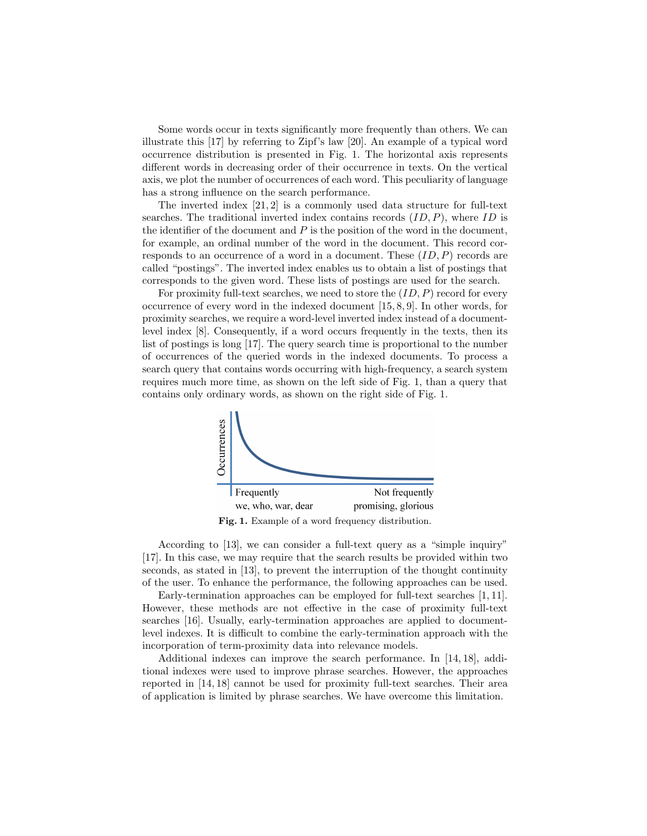Some words occur in texts significantly more frequently than others. We can illustrate this [17] by referring to Zipf's law [20]. An example of a typical word occurrence distribution is presented in Fig. 1. The horizontal axis represents different words in decreasing order of their occurrence in texts. On the vertical axis, we plot the number of occurrences of each word. This peculiarity of language has a strong influence on the search performance.

The inverted index  $[21, 2]$  is a commonly used data structure for full-text searches. The traditional inverted index contains records  $(ID, P)$ , where  $ID$  is the identifier of the document and  $P$  is the position of the word in the document, for example, an ordinal number of the word in the document. This record corresponds to an occurrence of a word in a document. These  $(ID, P)$  records are called "postings". The inverted index enables us to obtain a list of postings that corresponds to the given word. These lists of postings are used for the search.

For proximity full-text searches, we need to store the  $(ID, P)$  record for every occurrence of every word in the indexed document [15, 8, 9]. In other words, for proximity searches, we require a word-level inverted index instead of a documentlevel index [8]. Consequently, if a word occurs frequently in the texts, then its list of postings is long [17]. The query search time is proportional to the number of occurrences of the queried words in the indexed documents. To process a search query that contains words occurring with high-frequency, a search system requires much more time, as shown on the left side of Fig. 1, than a query that contains only ordinary words, as shown on the right side of Fig. 1.



Fig. 1. Example of a word frequency distribution.

According to [13], we can consider a full-text query as a "simple inquiry" [17]. In this case, we may require that the search results be provided within two seconds, as stated in [13], to prevent the interruption of the thought continuity of the user. To enhance the performance, the following approaches can be used.

Early-termination approaches can be employed for full-text searches [1, 11]. However, these methods are not effective in the case of proximity full-text searches [16]. Usually, early-termination approaches are applied to documentlevel indexes. It is difficult to combine the early-termination approach with the incorporation of term-proximity data into relevance models.

Additional indexes can improve the search performance. In [14, 18], additional indexes were used to improve phrase searches. However, the approaches reported in [14, 18] cannot be used for proximity full-text searches. Their area of application is limited by phrase searches. We have overcome this limitation.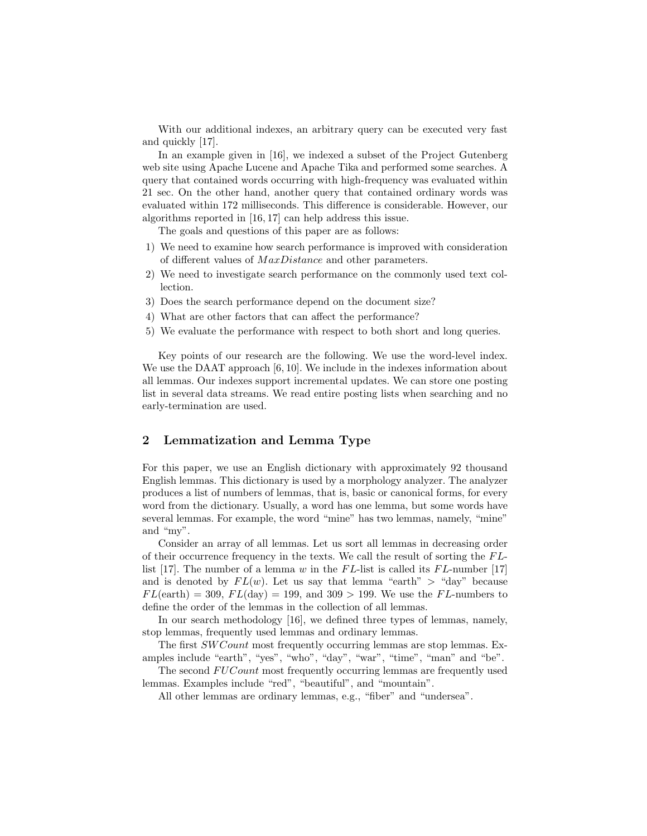With our additional indexes, an arbitrary query can be executed very fast and quickly [17].

In an example given in [16], we indexed a subset of the Project Gutenberg web site using Apache Lucene and Apache Tika and performed some searches. A query that contained words occurring with high-frequency was evaluated within 21 sec. On the other hand, another query that contained ordinary words was evaluated within 172 milliseconds. This difference is considerable. However, our algorithms reported in [16, 17] can help address this issue.

The goals and questions of this paper are as follows:

- 1) We need to examine how search performance is improved with consideration of different values of  $MaxDistance$  and other parameters.
- 2) We need to investigate search performance on the commonly used text collection.
- 3) Does the search performance depend on the document size?
- 4) What are other factors that can affect the performance?
- 5) We evaluate the performance with respect to both short and long queries.

Key points of our research are the following. We use the word-level index. We use the DAAT approach [6, 10]. We include in the indexes information about all lemmas. Our indexes support incremental updates. We can store one posting list in several data streams. We read entire posting lists when searching and no early-termination are used.

# 2 Lemmatization and Lemma Type

For this paper, we use an English dictionary with approximately 92 thousand English lemmas. This dictionary is used by a morphology analyzer. The analyzer produces a list of numbers of lemmas, that is, basic or canonical forms, for every word from the dictionary. Usually, a word has one lemma, but some words have several lemmas. For example, the word "mine" has two lemmas, namely, "mine" and "my".

Consider an array of all lemmas. Let us sort all lemmas in decreasing order of their occurrence frequency in the texts. We call the result of sorting the  $FL$ list [17]. The number of a lemma w in the  $FL$ -list is called its  $FL$ -number [17] and is denoted by  $FL(w)$ . Let us say that lemma "earth" > "day" because  $FL(earth) = 309, FL(day) = 199, and 309 > 199.$  We use the FL-numbers to define the order of the lemmas in the collection of all lemmas.

In our search methodology [16], we defined three types of lemmas, namely, stop lemmas, frequently used lemmas and ordinary lemmas.

The first SW Count most frequently occurring lemmas are stop lemmas. Examples include "earth", "yes", "who", "day", "war", "time", "man" and "be".

The second FUC ount most frequently occurring lemmas are frequently used lemmas. Examples include "red", "beautiful", and "mountain".

All other lemmas are ordinary lemmas, e.g., "fiber" and "undersea".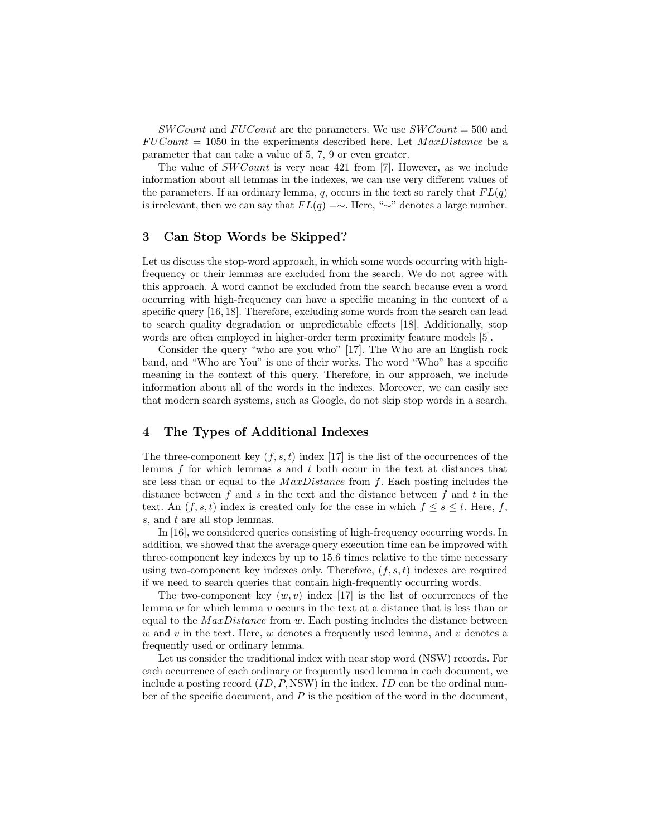$SWCount$  and  $FUCount$  are the parameters. We use  $SWCount = 500$  and  $FUCount = 1050$  in the experiments described here. Let  $MaxDistance$  be a parameter that can take a value of 5, 7, 9 or even greater.

The value of  $SWCount$  is very near 421 from [7]. However, as we include information about all lemmas in the indexes, we can use very different values of the parameters. If an ordinary lemma, q, occurs in the text so rarely that  $FL(q)$ is irrelevant, then we can say that  $FL(q) = \sim$ . Here, "∼" denotes a large number.

## 3 Can Stop Words be Skipped?

Let us discuss the stop-word approach, in which some words occurring with highfrequency or their lemmas are excluded from the search. We do not agree with this approach. A word cannot be excluded from the search because even a word occurring with high-frequency can have a specific meaning in the context of a specific query [16, 18]. Therefore, excluding some words from the search can lead to search quality degradation or unpredictable effects [18]. Additionally, stop words are often employed in higher-order term proximity feature models [5].

Consider the query "who are you who" [17]. The Who are an English rock band, and "Who are You" is one of their works. The word "Who" has a specific meaning in the context of this query. Therefore, in our approach, we include information about all of the words in the indexes. Moreover, we can easily see that modern search systems, such as Google, do not skip stop words in a search.

# 4 The Types of Additional Indexes

The three-component key  $(f, s, t)$  index [17] is the list of the occurrences of the lemma  $f$  for which lemmas  $s$  and  $t$  both occur in the text at distances that are less than or equal to the  $MaxDistance$  from f. Each posting includes the distance between f and s in the text and the distance between f and t in the text. An  $(f, s, t)$  index is created only for the case in which  $f \leq s \leq t$ . Here, f, s, and t are all stop lemmas.

In [16], we considered queries consisting of high-frequency occurring words. In addition, we showed that the average query execution time can be improved with three-component key indexes by up to 15.6 times relative to the time necessary using two-component key indexes only. Therefore,  $(f, s, t)$  indexes are required if we need to search queries that contain high-frequently occurring words.

The two-component key  $(w, v)$  index [17] is the list of occurrences of the lemma w for which lemma v occurs in the text at a distance that is less than or equal to the  $MaxDistance$  from w. Each posting includes the distance between  $w$  and  $v$  in the text. Here,  $w$  denotes a frequently used lemma, and  $v$  denotes a frequently used or ordinary lemma.

Let us consider the traditional index with near stop word (NSW) records. For each occurrence of each ordinary or frequently used lemma in each document, we include a posting record  $(ID, P, NSW)$  in the index. ID can be the ordinal number of the specific document, and  $P$  is the position of the word in the document,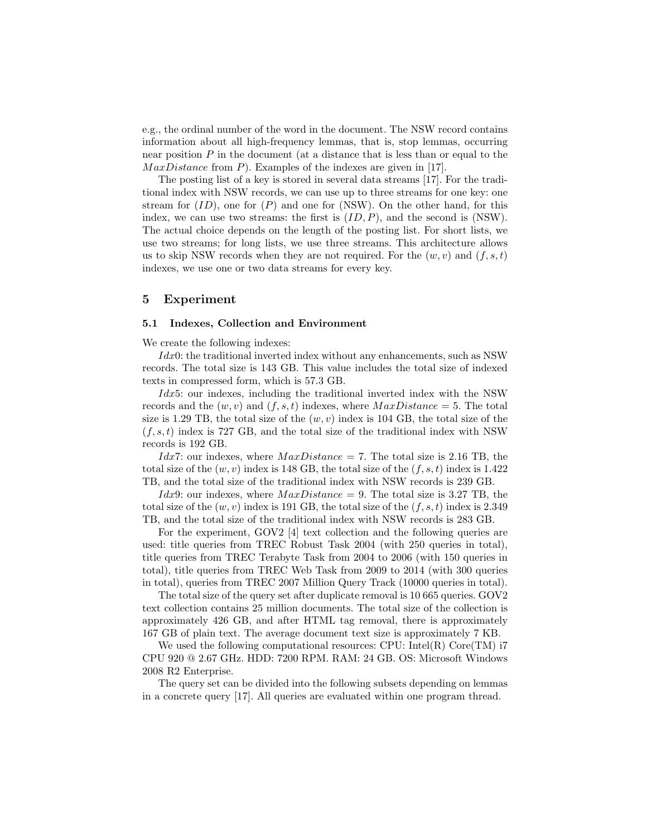e.g., the ordinal number of the word in the document. The NSW record contains information about all high-frequency lemmas, that is, stop lemmas, occurring near position  $P$  in the document (at a distance that is less than or equal to the  $MaxDistance$  from P). Examples of the indexes are given in [17].

The posting list of a key is stored in several data streams [17]. For the traditional index with NSW records, we can use up to three streams for one key: one stream for  $(ID)$ , one for  $(P)$  and one for  $(NSW)$ . On the other hand, for this index, we can use two streams: the first is  $(ID, P)$ , and the second is (NSW). The actual choice depends on the length of the posting list. For short lists, we use two streams; for long lists, we use three streams. This architecture allows us to skip NSW records when they are not required. For the  $(w, v)$  and  $(f, s, t)$ indexes, we use one or two data streams for every key.

## 5 Experiment

#### 5.1 Indexes, Collection and Environment

We create the following indexes:

 $Idx0$ : the traditional inverted index without any enhancements, such as NSW records. The total size is 143 GB. This value includes the total size of indexed texts in compressed form, which is 57.3 GB.

 $Idx5:$  our indexes, including the traditional inverted index with the NSW records and the  $(w, v)$  and  $(f, s, t)$  indexes, where  $MaxDistance = 5$ . The total size is 1.29 TB, the total size of the  $(w, v)$  index is 104 GB, the total size of the  $(f, s, t)$  index is 727 GB, and the total size of the traditional index with NSW records is 192 GB.

*Idx7*: our indexes, where  $MaxDistance = 7$ . The total size is 2.16 TB, the total size of the  $(w, v)$  index is 148 GB, the total size of the  $(f, s, t)$  index is 1.422 TB, and the total size of the traditional index with NSW records is 239 GB.

*Idx*9: our indexes, where  $MaxDistance = 9$ . The total size is 3.27 TB, the total size of the  $(w, v)$  index is 191 GB, the total size of the  $(f, s, t)$  index is 2.349 TB, and the total size of the traditional index with NSW records is 283 GB.

For the experiment, GOV2 [4] text collection and the following queries are used: title queries from TREC Robust Task 2004 (with 250 queries in total), title queries from TREC Terabyte Task from 2004 to 2006 (with 150 queries in total), title queries from TREC Web Task from 2009 to 2014 (with 300 queries in total), queries from TREC 2007 Million Query Track (10000 queries in total).

The total size of the query set after duplicate removal is 10 665 queries. GOV2 text collection contains 25 million documents. The total size of the collection is approximately 426 GB, and after HTML tag removal, there is approximately 167 GB of plain text. The average document text size is approximately 7 KB.

We used the following computational resources:  $\text{CPU: Intel(R) Core(TM)}$  i7 CPU 920 @ 2.67 GHz. HDD: 7200 RPM. RAM: 24 GB. OS: Microsoft Windows 2008 R2 Enterprise.

The query set can be divided into the following subsets depending on lemmas in a concrete query [17]. All queries are evaluated within one program thread.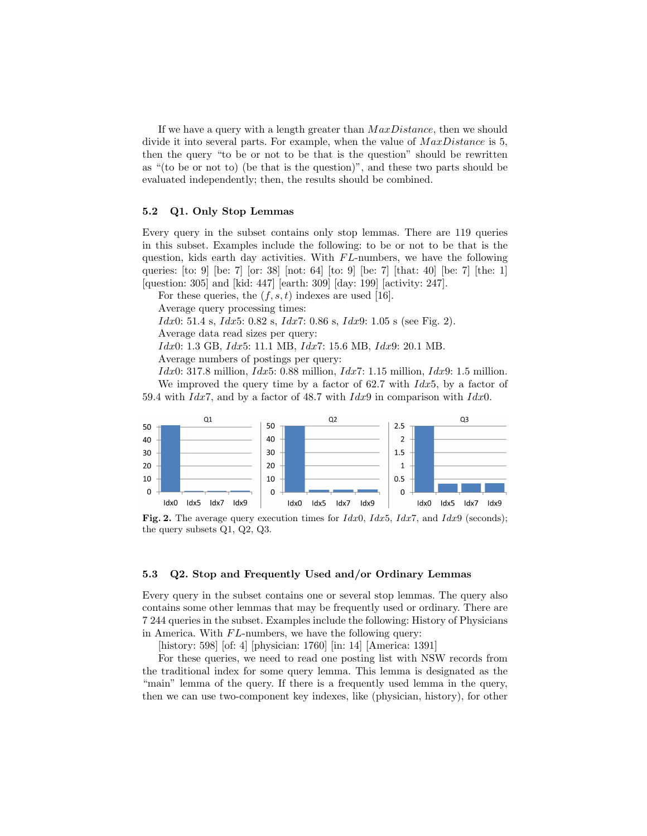If we have a query with a length greater than  $MaxDistance$ , then we should divide it into several parts. For example, when the value of  $MaxDistance$  is 5, then the query "to be or not to be that is the question" should be rewritten as "(to be or not to) (be that is the question)", and these two parts should be evaluated independently; then, the results should be combined.

#### 5.2 Q1. Only Stop Lemmas

Every query in the subset contains only stop lemmas. There are 119 queries in this subset. Examples include the following: to be or not to be that is the question, kids earth day activities. With  $FL$ -numbers, we have the following queries:  $[$ to: 9 $]$   $[$ be: 7 $]$   $[$ or: 38 $]$   $[$ not: 64 $]$   $[$ to: 9 $]$   $[$ be: 7 $]$   $[$ that: 40 $]$   $[$ be: 7 $]$   $[$ the: 1 $]$ [question: 305] and [kid: 447] [earth: 309] [day: 199] [activity: 247].

For these queries, the  $(f, s, t)$  indexes are used [16].

Average query processing times:

Idx0: 51.4 s, Idx5: 0.82 s, Idx7: 0.86 s, Idx9: 1.05 s (see Fig. 2).

Average data read sizes per query:

Idx0: 1.3 GB, Idx5: 11.1 MB, Idx7: 15.6 MB, Idx9: 20.1 MB.

Average numbers of postings per query:

 $Idx0: 317.8$  million,  $Idx5: 0.88$  million,  $Idx7: 1.15$  million,  $Idx9: 1.5$  million. We improved the query time by a factor of 62.7 with  $Idx5$ , by a factor of 59.4 with Idx7, and by a factor of 48.7 with Idx9 in comparison with Idx0.



Fig. 2. The average query execution times for  $Idx0$ ,  $Idx5$ ,  $Idx7$ , and  $Idx9$  (seconds); the query subsets Q1, Q2, Q3.

## 5.3 Q2. Stop and Frequently Used and/or Ordinary Lemmas

Every query in the subset contains one or several stop lemmas. The query also contains some other lemmas that may be frequently used or ordinary. There are 7 244 queries in the subset. Examples include the following: History of Physicians in America. With  $FL$ -numbers, we have the following query:

[history: 598] [of: 4] [physician: 1760] [in: 14] [America: 1391]

For these queries, we need to read one posting list with NSW records from the traditional index for some query lemma. This lemma is designated as the "main" lemma of the query. If there is a frequently used lemma in the query, then we can use two-component key indexes, like (physician, history), for other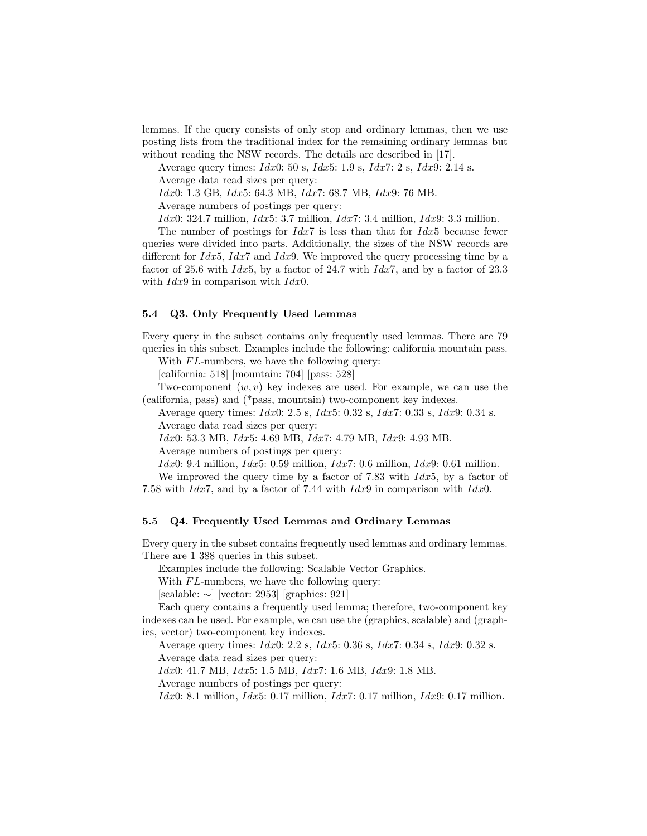lemmas. If the query consists of only stop and ordinary lemmas, then we use posting lists from the traditional index for the remaining ordinary lemmas but without reading the NSW records. The details are described in [17].

Average query times:  $Idx0: 50$  s,  $Idx5: 1.9$  s,  $Idx7: 2$  s,  $Idx9: 2.14$  s.

Average data read sizes per query:

Idx0: 1.3 GB, Idx5: 64.3 MB, Idx7: 68.7 MB, Idx9: 76 MB.

Average numbers of postings per query:

 $Idx0: 324.7$  million,  $Idx5: 3.7$  million,  $Idx7: 3.4$  million,  $Idx9: 3.3$  million.

The number of postings for  $Idx7$  is less than that for  $Idx5$  because fewer queries were divided into parts. Additionally, the sizes of the NSW records are different for  $Idx5$ ,  $Idx7$  and  $Idx9$ . We improved the query processing time by a factor of 25.6 with  $Idx5$ , by a factor of 24.7 with  $Idx7$ , and by a factor of 23.3 with  $Idx9$  in comparison with  $Idx0$ .

#### 5.4 Q3. Only Frequently Used Lemmas

Every query in the subset contains only frequently used lemmas. There are 79 queries in this subset. Examples include the following: california mountain pass.

With  $FL$ -numbers, we have the following query:

[california: 518] [mountain: 704] [pass: 528]

Two-component  $(w, v)$  key indexes are used. For example, we can use the (california, pass) and (\*pass, mountain) two-component key indexes.

Average query times: Idx0: 2.5 s, Idx5: 0.32 s, Idx7: 0.33 s, Idx9: 0.34 s. Average data read sizes per query:

Idx0: 53.3 MB, Idx5: 4.69 MB, Idx7: 4.79 MB, Idx9: 4.93 MB.

Average numbers of postings per query:

Idx0: 9.4 million, Idx5: 0.59 million, Idx7: 0.6 million, Idx9: 0.61 million.

We improved the query time by a factor of 7.83 with  $Idx5$ , by a factor of

7.58 with  $Idx7$ , and by a factor of 7.44 with  $Idx9$  in comparison with  $Idx0$ .

## 5.5 Q4. Frequently Used Lemmas and Ordinary Lemmas

Every query in the subset contains frequently used lemmas and ordinary lemmas. There are 1 388 queries in this subset.

Examples include the following: Scalable Vector Graphics.

With  $FL$ -numbers, we have the following query:

[scalable: ∼] [vector: 2953] [graphics: 921]

Each query contains a frequently used lemma; therefore, two-component key indexes can be used. For example, we can use the (graphics, scalable) and (graphics, vector) two-component key indexes.

Average query times: Idx0: 2.2 s, Idx5: 0.36 s, Idx7: 0.34 s, Idx9: 0.32 s.

Average data read sizes per query:

Idx0: 41.7 MB, Idx5: 1.5 MB, Idx7: 1.6 MB, Idx9: 1.8 MB.

Average numbers of postings per query:

 $Idx0: 8.1$  million,  $Idx5: 0.17$  million,  $Idx7: 0.17$  million,  $Idx9: 0.17$  million.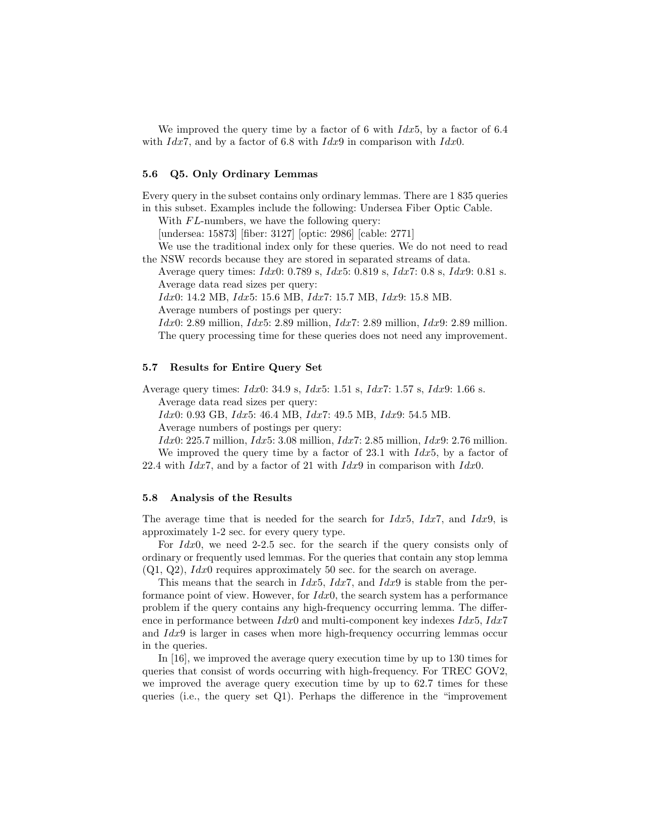We improved the query time by a factor of 6 with  $Idx5$ , by a factor of 6.4 with  $Idx7$ , and by a factor of 6.8 with  $Idx9$  in comparison with  $Idx0$ .

# 5.6 Q5. Only Ordinary Lemmas

Every query in the subset contains only ordinary lemmas. There are 1 835 queries in this subset. Examples include the following: Undersea Fiber Optic Cable.

With  $FL$ -numbers, we have the following query:

[undersea: 15873] [fiber: 3127] [optic: 2986] [cable: 2771]

We use the traditional index only for these queries. We do not need to read the NSW records because they are stored in separated streams of data.

Average query times: Idx0: 0.789 s, Idx5: 0.819 s, Idx7: 0.8 s, Idx9: 0.81 s. Average data read sizes per query:

Idx0: 14.2 MB, Idx5: 15.6 MB, Idx7: 15.7 MB, Idx9: 15.8 MB.

Average numbers of postings per query:

 $Idx0: 2.89$  million,  $Idx5: 2.89$  million,  $Idx7: 2.89$  million,  $Idx9: 2.89$  million. The query processing time for these queries does not need any improvement.

## 5.7 Results for Entire Query Set

Average query times: Idx0: 34.9 s, Idx5: 1.51 s, Idx7: 1.57 s, Idx9: 1.66 s. Average data read sizes per query:

Idx0: 0.93 GB, Idx5: 46.4 MB, Idx7: 49.5 MB, Idx9: 54.5 MB.

Average numbers of postings per query:

 $Idx0: 225.7$  million,  $Idx5: 3.08$  million,  $Idx7: 2.85$  million,  $Idx9: 2.76$  million.

We improved the query time by a factor of  $23.1$  with  $Idx5$ , by a factor of 22.4 with  $Idx7$ , and by a factor of 21 with  $Idx9$  in comparison with  $Idx0$ .

#### 5.8 Analysis of the Results

The average time that is needed for the search for  $Idx5$ ,  $Idx7$ , and  $Idx9$ , is approximately 1-2 sec. for every query type.

For  $Idx0$ , we need 2-2.5 sec. for the search if the query consists only of ordinary or frequently used lemmas. For the queries that contain any stop lemma  $(Q1, Q2)$ ,  $Idx0$  requires approximately 50 sec. for the search on average.

This means that the search in  $Idx5$ ,  $Idx7$ , and  $Idx9$  is stable from the performance point of view. However, for  $Idx0$ , the search system has a performance problem if the query contains any high-frequency occurring lemma. The difference in performance between  $Idx0$  and multi-component key indexes  $Idx5$ ,  $Idx7$ and  $Idx9$  is larger in cases when more high-frequency occurring lemmas occur in the queries.

In [16], we improved the average query execution time by up to 130 times for queries that consist of words occurring with high-frequency. For TREC GOV2, we improved the average query execution time by up to 62.7 times for these queries (i.e., the query set  $Q_1$ ). Perhaps the difference in the "improvement"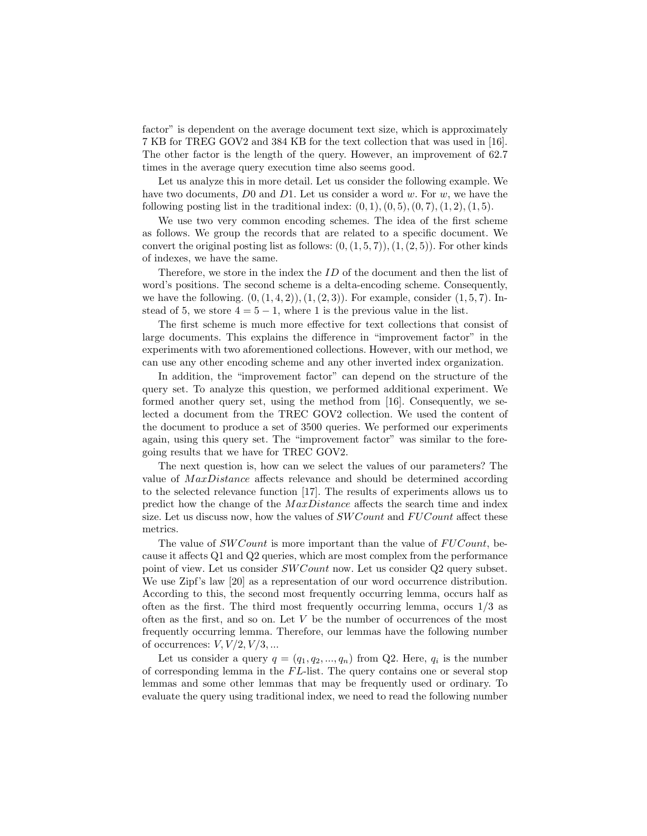factor" is dependent on the average document text size, which is approximately 7 KB for TREG GOV2 and 384 KB for the text collection that was used in [16]. The other factor is the length of the query. However, an improvement of 62.7 times in the average query execution time also seems good.

Let us analyze this in more detail. Let us consider the following example. We have two documents,  $D0$  and  $D1$ . Let us consider a word w. For w, we have the following posting list in the traditional index:  $(0, 1), (0, 5), (0, 7), (1, 2), (1, 5).$ 

We use two very common encoding schemes. The idea of the first scheme as follows. We group the records that are related to a specific document. We convert the original posting list as follows:  $(0,(1,5,7)),(1,(2,5))$ . For other kinds of indexes, we have the same.

Therefore, we store in the index the ID of the document and then the list of word's positions. The second scheme is a delta-encoding scheme. Consequently, we have the following.  $(0,(1,4,2)),(1,(2,3))$ . For example, consider  $(1,5,7)$ . Instead of 5, we store  $4 = 5 - 1$ , where 1 is the previous value in the list.

The first scheme is much more effective for text collections that consist of large documents. This explains the difference in "improvement factor" in the experiments with two aforementioned collections. However, with our method, we can use any other encoding scheme and any other inverted index organization.

In addition, the "improvement factor" can depend on the structure of the query set. To analyze this question, we performed additional experiment. We formed another query set, using the method from [16]. Consequently, we selected a document from the TREC GOV2 collection. We used the content of the document to produce a set of 3500 queries. We performed our experiments again, using this query set. The "improvement factor" was similar to the foregoing results that we have for TREC GOV2.

The next question is, how can we select the values of our parameters? The value of *MaxDistance* affects relevance and should be determined according to the selected relevance function [17]. The results of experiments allows us to predict how the change of the  $MaxDistance$  affects the search time and index size. Let us discuss now, how the values of  $SWCount$  and  $FUCount$  affect these metrics.

The value of  $SWCount$  is more important than the value of  $FUCount$ , because it affects Q1 and Q2 queries, which are most complex from the performance point of view. Let us consider  $SWCount$  now. Let us consider Q2 query subset. We use Zipf's law [20] as a representation of our word occurrence distribution. According to this, the second most frequently occurring lemma, occurs half as often as the first. The third most frequently occurring lemma, occurs  $1/3$  as often as the first, and so on. Let  $V$  be the number of occurrences of the most frequently occurring lemma. Therefore, our lemmas have the following number of occurrences:  $V, V/2, V/3, ...$ 

Let us consider a query  $q = (q_1, q_2, ..., q_n)$  from Q2. Here,  $q_i$  is the number of corresponding lemma in the  $FL$ -list. The query contains one or several stop lemmas and some other lemmas that may be frequently used or ordinary. To evaluate the query using traditional index, we need to read the following number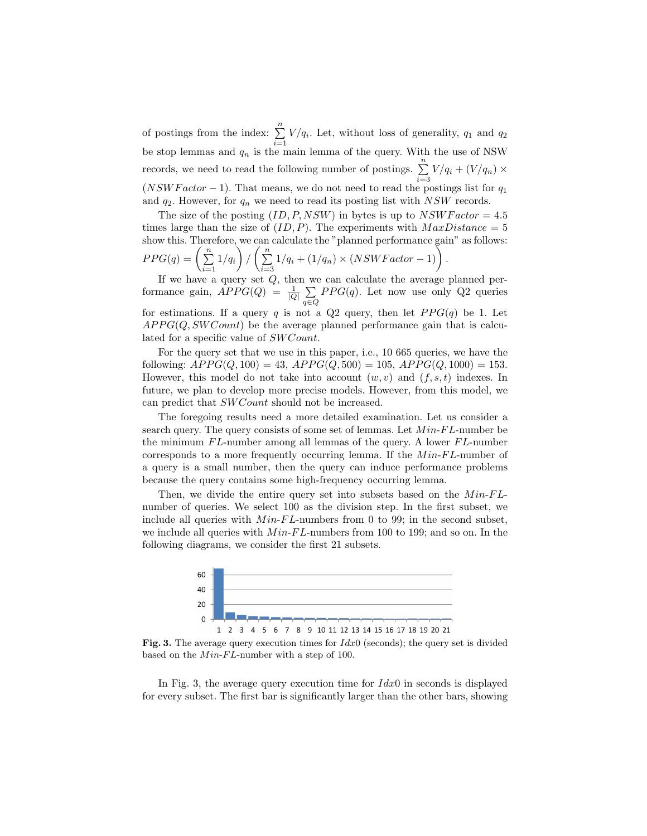of postings from the index:  $\sum_{n=1}^{\infty}$  $\sum_{i=1} V/q_i$ . Let, without loss of generality,  $q_1$  and  $q_2$ be stop lemmas and  $q_n$  is the main lemma of the query. With the use of NSW records, we need to read the following number of postings.  $\sum_{n=1}^{\infty}$  $\sum_{i=3} V/q_i + (V/q_n) \times$  $(NSWFactor - 1)$ . That means, we do not need to read the postings list for  $q_1$ and  $q_2$ . However, for  $q_n$  we need to read its posting list with NSW records.

The size of the posting  $(ID, P, NSW)$  in bytes is up to  $NSWFactor = 4.5$ times large than the size of  $(ID, P)$ . The experiments with  $MaxDistance = 5$ show this. Therefore, we can calculate the "planned performance gain" as follows:  $PPG(q) = \bigg(\sum_{n=1}^{n}$  $\sum_{i=1}^{n}1/q_i\bigg) / \left(\sum_{i=3}^{n}$  $\sum_{i=3}^{n} 1/q_i + (1/q_n) \times (NSWFactor - 1)$ .

If we have a query set  $Q$ , then we can calculate the average planned performance gain,  $APPG(Q) = \frac{1}{|Q|} \sum$ q∈Q  $PPG(q)$ . Let now use only Q2 queries for estimations. If a query q is not a Q2 query, then let  $PPG(q)$  be 1. Let  $APPG(Q, SWCount)$  be the average planned performance gain that is calculated for a specific value of  $SWCount$ .

For the query set that we use in this paper, i.e., 10 665 queries, we have the following:  $APPG(Q, 100) = 43$ ,  $APPG(Q, 500) = 105$ ,  $APPG(Q, 1000) = 153$ . However, this model do not take into account  $(w, v)$  and  $(f, s, t)$  indexes. In future, we plan to develop more precise models. However, from this model, we can predict that SW Count should not be increased.

The foregoing results need a more detailed examination. Let us consider a search query. The query consists of some set of lemmas. Let  $Min$ - $FL$ -number be the minimum  $FL$ -number among all lemmas of the query. A lower  $FL$ -number corresponds to a more frequently occurring lemma. If the  $Min$ - $FL$ -number of a query is a small number, then the query can induce performance problems because the query contains some high-frequency occurring lemma.

Then, we divide the entire query set into subsets based on the  $Min$ - $FL$ number of queries. We select 100 as the division step. In the first subset, we include all queries with  $Min\text{-}FL\text{-}numbers$  from 0 to 99; in the second subset, we include all queries with  $Min\text{-}FL\text{-}numbers$  from 100 to 199; and so on. In the following diagrams, we consider the first 21 subsets.



Fig. 3. The average query execution times for  $Idx0$  (seconds); the query set is divided based on the  $Min\text{-}FL\text{-}number$  with a step of 100.

In Fig. 3, the average query execution time for  $Idx0$  in seconds is displayed for every subset. The first bar is significantly larger than the other bars, showing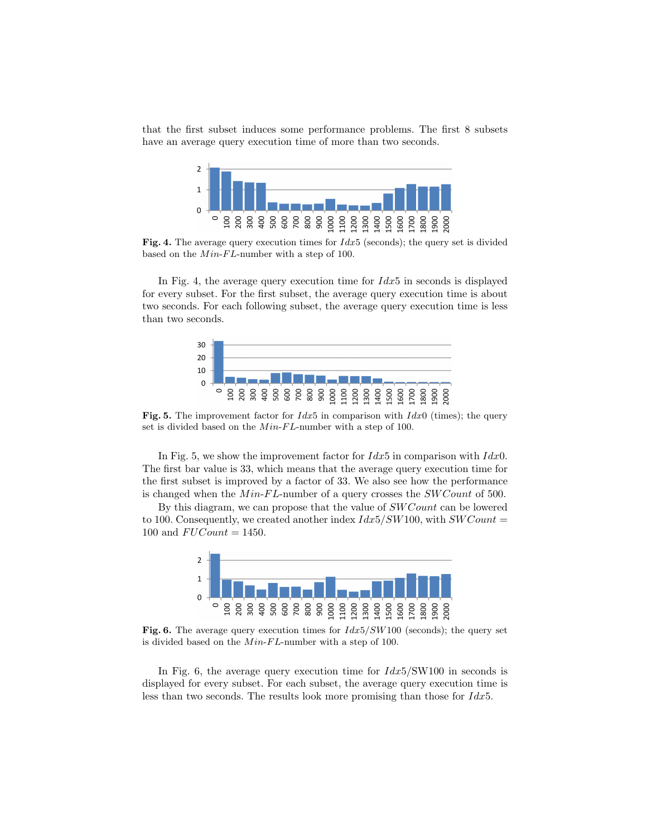that the first subset induces some performance problems. The first 8 subsets have an average query execution time of more than two seconds.



Fig. 4. The average query execution times for  $Idx5$  (seconds); the query set is divided based on the  $Min\text{-}FL\text{-}number$  with a step of 100.

In Fig. 4, the average query execution time for  $\hat{I}dx5$  in seconds is displayed for every subset. For the first subset, the average query execution time is about two seconds. For each following subset, the average query execution time is less than two seconds.



**Fig. 5.** The improvement factor for  $Idx5$  in comparison with  $Idx0$  (times); the query set is divided based on the  $Min\text{-}FL\text{-}number$  with a step of 100.

In Fig. 5, we show the improvement factor for  $Idx5$  in comparison with  $Idx0$ . The first bar value is 33, which means that the average query execution time for the first subset is improved by a factor of 33. We also see how the performance is changed when the  $Min\text{-}FL\text{-}number$  of a query crosses the  $SWCount$  of 500.

By this diagram, we can propose that the value of *SW Count* can be lowered to 100. Consequently, we created another index  $Idx5/SW100$ , with  $SWCount =$ 100 and  $FUCount = 1450$ .



Fig. 6. The average query execution times for  $Idx5/SW100$  (seconds); the query set is divided based on the  $Min\text{-}FL\text{-}number$  with a step of 100.

In Fig. 6, the average query execution time for  $\frac{Idx5}{SW100}$  in seconds is displayed for every subset. For each subset, the average query execution time is less than two seconds. The results look more promising than those for  $Idx5$ .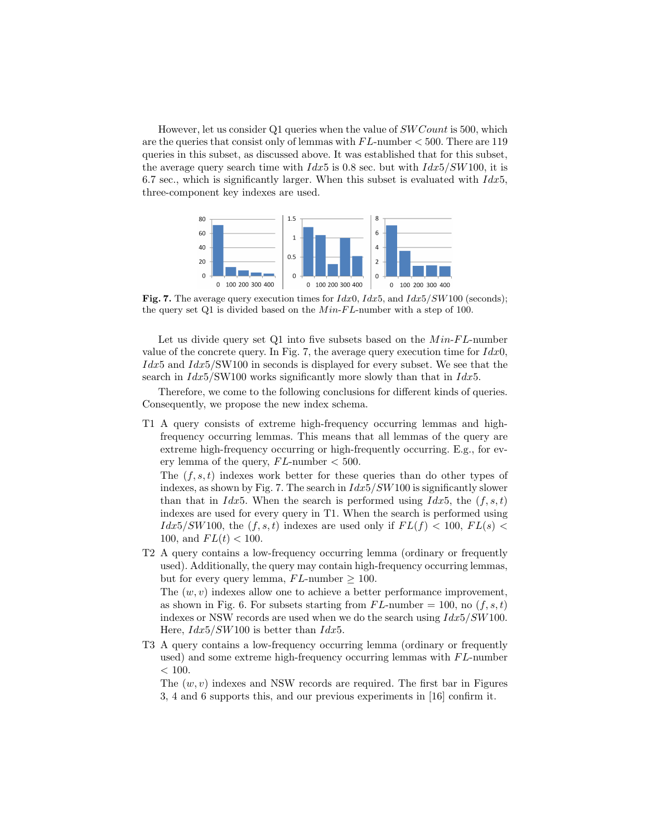However, let us consider Q1 queries when the value of SW Count is 500, which are the queries that consist only of lemmas with  $FL$ -number  $<$  500. There are 119 queries in this subset, as discussed above. It was established that for this subset, the average query search time with  $Idx5$  is 0.8 sec. but with  $Idx5/SW100$ , it is 6.7 sec., which is significantly larger. When this subset is evaluated with  $Idx5$ , three-component key indexes are used.



Fig. 7. The average query execution times for  $Idx0$ ,  $Idx5$ , and  $Idx5/SW100$  (seconds); the query set Q1 is divided based on the  $Min$ - $FL$ -number with a step of 100.

Let us divide query set  $Q1$  into five subsets based on the  $Min\text{-}FL\text{-}number$ value of the concrete query. In Fig. 7, the average query execution time for  $Idx0$ ,  $\int dx$ 5 and  $\int dx$ 5/SW100 in seconds is displayed for every subset. We see that the search in  $Idx5/SW100$  works significantly more slowly than that in  $Idx5$ .

Therefore, we come to the following conclusions for different kinds of queries. Consequently, we propose the new index schema.

T1 A query consists of extreme high-frequency occurring lemmas and highfrequency occurring lemmas. This means that all lemmas of the query are extreme high-frequency occurring or high-frequently occurring. E.g., for every lemma of the query,  $FL$ -number  $< 500$ .

The  $(f, s, t)$  indexes work better for these queries than do other types of indexes, as shown by Fig. 7. The search in  $Idx5/SW100$  is significantly slower than that in  $Idx5$ . When the search is performed using  $Idx5$ , the  $(f, s, t)$ indexes are used for every query in T1. When the search is performed using  $Idx5/SW100$ , the  $(f, s, t)$  indexes are used only if  $FL(f) < 100$ ,  $FL(s) <$ 100, and  $FL(t) < 100$ .

T2 A query contains a low-frequency occurring lemma (ordinary or frequently used). Additionally, the query may contain high-frequency occurring lemmas, but for every query lemma,  $FL$ -number  $\geq 100$ . The  $(w, v)$  indexes allow one to achieve a better performance improvement, as shown in Fig. 6. For subsets starting from  $FL$ -number = 100, no  $(f, s, t)$ 

indexes or NSW records are used when we do the search using  $Idx5/SW100$ . Here,  $Idx5/SW100$  is better than  $Idx5$ .

T3 A query contains a low-frequency occurring lemma (ordinary or frequently used) and some extreme high-frequency occurring lemmas with  $FL$ -number  $< 100.$ 

The  $(w, v)$  indexes and NSW records are required. The first bar in Figures 3, 4 and 6 supports this, and our previous experiments in [16] confirm it.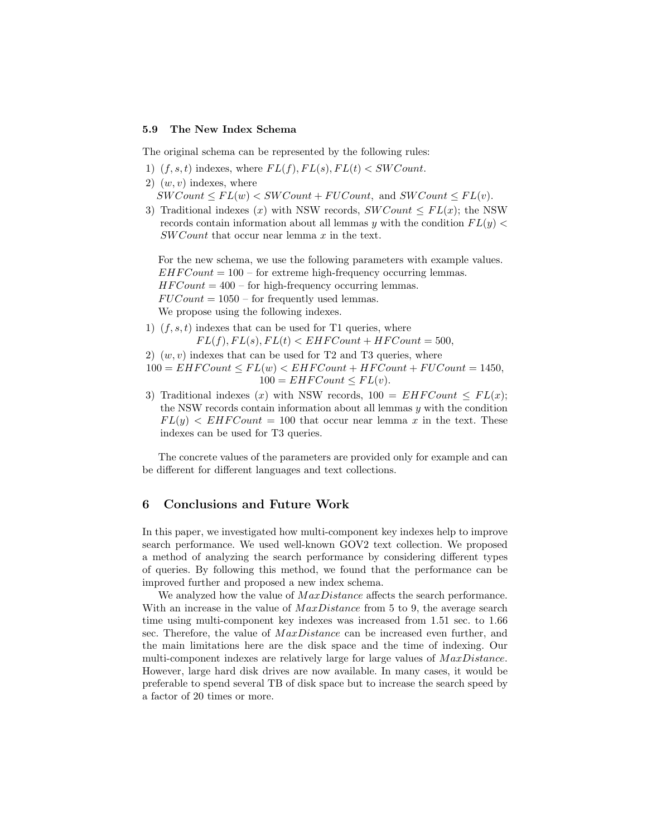#### 5.9 The New Index Schema

The original schema can be represented by the following rules:

- 1)  $(f, s, t)$  indexes, where  $FL(f), FL(s), FL(t) < SWCount$ .
- 2)  $(w, v)$  indexes, where

 $SWCount \le FL(w) < SWCount + FUCount$ , and  $SWCount \le FL(v)$ .

3) Traditional indexes (x) with NSW records,  $SWCount \le FL(x)$ ; the NSW records contain information about all lemmas y with the condition  $FL(y)$ SW Count that occur near lemma x in the text.

For the new schema, we use the following parameters with example values.  $EHFCount = 100$  – for extreme high-frequency occurring lemmas.  $HFCount = 400$  – for high-frequency occurring lemmas.  $FUCount = 1050$  – for frequently used lemmas. We propose using the following indexes.

- 1)  $(f, s, t)$  indexes that can be used for T1 queries, where  $FL(f), FL(s), FL(t) < EHFCount + HFCount = 500,$
- 2)  $(w, v)$  indexes that can be used for T2 and T3 queries, where
- $100 = EHFCount \le FL(w) \le EHFCount + HFCount + FUCount = 1450,$  $100 = EHFCount \leq FL(v).$
- 3) Traditional indexes (x) with NSW records,  $100 = EHFCount \le FL(x);$ the NSW records contain information about all lemmas y with the condition  $FL(y) < EHFCount = 100$  that occur near lemma x in the text. These indexes can be used for T3 queries.

The concrete values of the parameters are provided only for example and can be different for different languages and text collections.

# 6 Conclusions and Future Work

In this paper, we investigated how multi-component key indexes help to improve search performance. We used well-known GOV2 text collection. We proposed a method of analyzing the search performance by considering different types of queries. By following this method, we found that the performance can be improved further and proposed a new index schema.

We analyzed how the value of *MaxDistance* affects the search performance. With an increase in the value of  $MaxDistance$  from 5 to 9, the average search time using multi-component key indexes was increased from 1.51 sec. to 1.66 sec. Therefore, the value of  $MaxDistance$  can be increased even further, and the main limitations here are the disk space and the time of indexing. Our multi-component indexes are relatively large for large values of  $MaxDistance$ . However, large hard disk drives are now available. In many cases, it would be preferable to spend several TB of disk space but to increase the search speed by a factor of 20 times or more.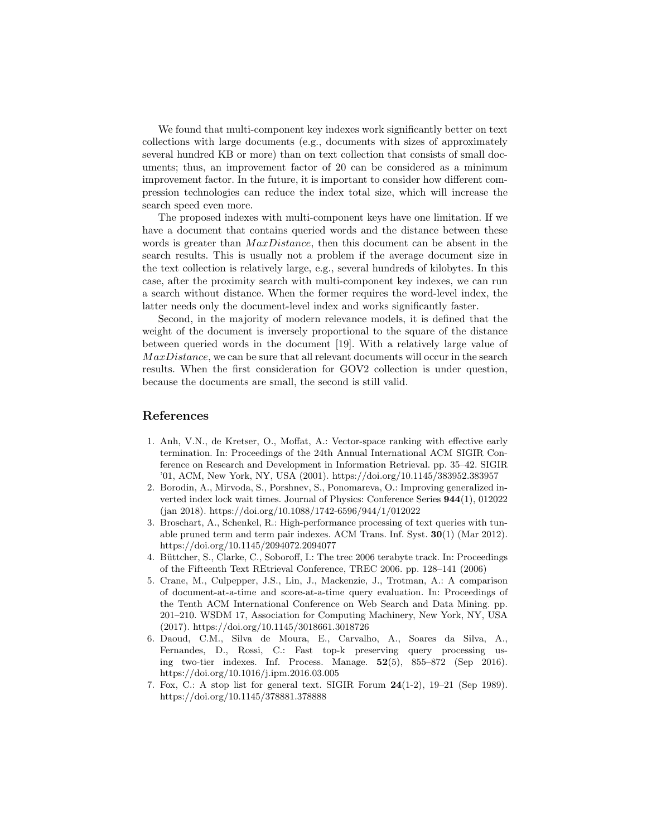We found that multi-component key indexes work significantly better on text collections with large documents (e.g., documents with sizes of approximately several hundred KB or more) than on text collection that consists of small documents; thus, an improvement factor of 20 can be considered as a minimum improvement factor. In the future, it is important to consider how different compression technologies can reduce the index total size, which will increase the search speed even more.

The proposed indexes with multi-component keys have one limitation. If we have a document that contains queried words and the distance between these words is greater than  $MaxDistance$ , then this document can be absent in the search results. This is usually not a problem if the average document size in the text collection is relatively large, e.g., several hundreds of kilobytes. In this case, after the proximity search with multi-component key indexes, we can run a search without distance. When the former requires the word-level index, the latter needs only the document-level index and works significantly faster.

Second, in the majority of modern relevance models, it is defined that the weight of the document is inversely proportional to the square of the distance between queried words in the document [19]. With a relatively large value of  $MaxDistance$ , we can be sure that all relevant documents will occur in the search results. When the first consideration for GOV2 collection is under question, because the documents are small, the second is still valid.

# References

- 1. Anh, V.N., de Kretser, O., Moffat, A.: Vector-space ranking with effective early termination. In: Proceedings of the 24th Annual International ACM SIGIR Conference on Research and Development in Information Retrieval. pp. 35–42. SIGIR '01, ACM, New York, NY, USA (2001). https://doi.org/10.1145/383952.383957
- 2. Borodin, A., Mirvoda, S., Porshnev, S., Ponomareva, O.: Improving generalized inverted index lock wait times. Journal of Physics: Conference Series 944(1), 012022 (jan 2018). https://doi.org/10.1088/1742-6596/944/1/012022
- 3. Broschart, A., Schenkel, R.: High-performance processing of text queries with tunable pruned term and term pair indexes. ACM Trans. Inf. Syst. 30(1) (Mar 2012). https://doi.org/10.1145/2094072.2094077
- 4. Büttcher, S., Clarke, C., Soboroff, I.: The trec 2006 terabyte track. In: Proceedings of the Fifteenth Text REtrieval Conference, TREC 2006. pp. 128–141 (2006)
- 5. Crane, M., Culpepper, J.S., Lin, J., Mackenzie, J., Trotman, A.: A comparison of document-at-a-time and score-at-a-time query evaluation. In: Proceedings of the Tenth ACM International Conference on Web Search and Data Mining. pp. 201–210. WSDM 17, Association for Computing Machinery, New York, NY, USA (2017). https://doi.org/10.1145/3018661.3018726
- 6. Daoud, C.M., Silva de Moura, E., Carvalho, A., Soares da Silva, A., Fernandes, D., Rossi, C.: Fast top-k preserving query processing using two-tier indexes. Inf. Process. Manage. 52(5), 855–872 (Sep 2016). https://doi.org/10.1016/j.ipm.2016.03.005
- 7. Fox, C.: A stop list for general text. SIGIR Forum 24(1-2), 19–21 (Sep 1989). https://doi.org/10.1145/378881.378888